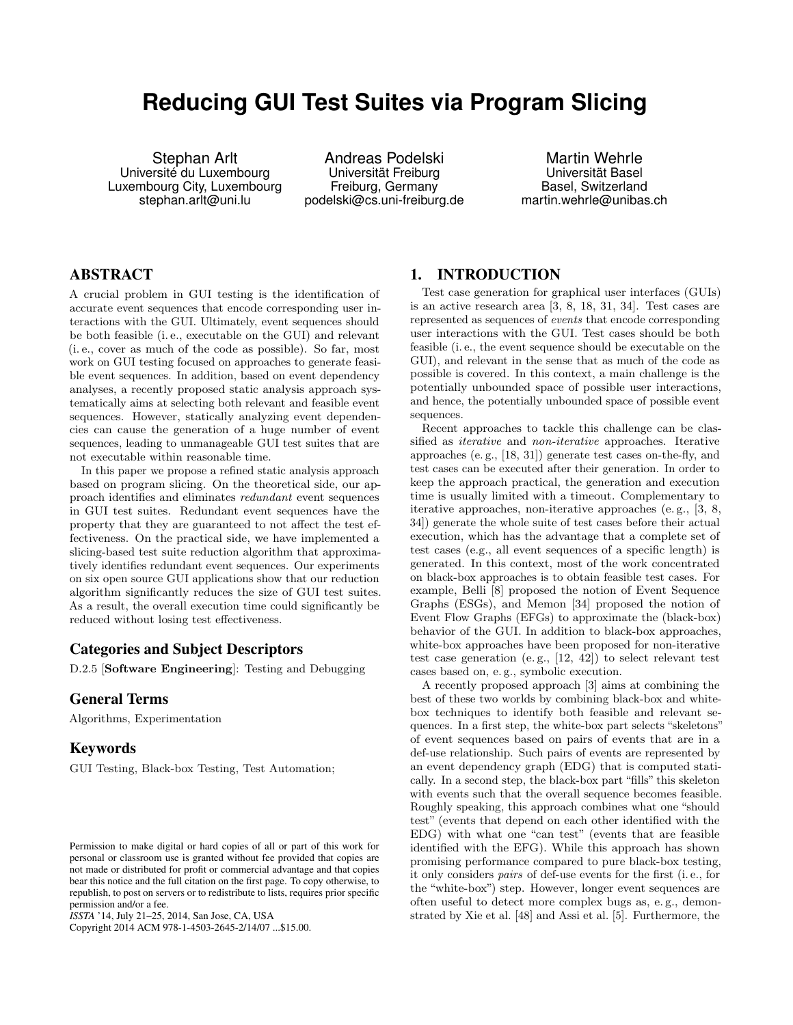# **Reducing GUI Test Suites via Program Slicing**

Stephan Arlt Université du Luxembourg Luxembourg City, Luxembourg stephan.arlt@uni.lu

Andreas Podelski Universität Freiburg Freiburg, Germany podelski@cs.uni-freiburg.de

Martin Wehrle Universität Basel Basel, Switzerland martin.wehrle@unibas.ch

# ABSTRACT

A crucial problem in GUI testing is the identification of accurate event sequences that encode corresponding user interactions with the GUI. Ultimately, event sequences should be both feasible (i. e., executable on the GUI) and relevant (i. e., cover as much of the code as possible). So far, most work on GUI testing focused on approaches to generate feasible event sequences. In addition, based on event dependency analyses, a recently proposed static analysis approach systematically aims at selecting both relevant and feasible event sequences. However, statically analyzing event dependencies can cause the generation of a huge number of event sequences, leading to unmanageable GUI test suites that are not executable within reasonable time.

In this paper we propose a refined static analysis approach based on program slicing. On the theoretical side, our approach identifies and eliminates redundant event sequences in GUI test suites. Redundant event sequences have the property that they are guaranteed to not affect the test effectiveness. On the practical side, we have implemented a slicing-based test suite reduction algorithm that approximatively identifies redundant event sequences. Our experiments on six open source GUI applications show that our reduction algorithm significantly reduces the size of GUI test suites. As a result, the overall execution time could significantly be reduced without losing test effectiveness.

# Categories and Subject Descriptors

D.2.5 [Software Engineering]: Testing and Debugging

# General Terms

Algorithms, Experimentation

# Keywords

GUI Testing, Black-box Testing, Test Automation;

Copyright 2014 ACM 978-1-4503-2645-2/14/07 ...\$15.00.

# 1. INTRODUCTION

Test case generation for graphical user interfaces (GUIs) is an active research area [\[3,](#page-10-0) [8,](#page-10-1) [18,](#page-10-2) [31,](#page-10-3) [34\]](#page-10-4). Test cases are represented as sequences of events that encode corresponding user interactions with the GUI. Test cases should be both feasible (i. e., the event sequence should be executable on the GUI), and relevant in the sense that as much of the code as possible is covered. In this context, a main challenge is the potentially unbounded space of possible user interactions, and hence, the potentially unbounded space of possible event sequences.

Recent approaches to tackle this challenge can be classified as iterative and non-iterative approaches. Iterative approaches (e. g., [\[18,](#page-10-2) [31\]](#page-10-3)) generate test cases on-the-fly, and test cases can be executed after their generation. In order to keep the approach practical, the generation and execution time is usually limited with a timeout. Complementary to iterative approaches, non-iterative approaches (e. g., [\[3,](#page-10-0) [8,](#page-10-1) [34\]](#page-10-4)) generate the whole suite of test cases before their actual execution, which has the advantage that a complete set of test cases (e.g., all event sequences of a specific length) is generated. In this context, most of the work concentrated on black-box approaches is to obtain feasible test cases. For example, Belli [\[8\]](#page-10-1) proposed the notion of Event Sequence Graphs (ESGs), and Memon [\[34\]](#page-10-4) proposed the notion of Event Flow Graphs (EFGs) to approximate the (black-box) behavior of the GUI. In addition to black-box approaches, white-box approaches have been proposed for non-iterative test case generation (e. g., [\[12,](#page-10-5) [42\]](#page-10-6)) to select relevant test cases based on, e. g., symbolic execution.

A recently proposed approach [\[3\]](#page-10-0) aims at combining the best of these two worlds by combining black-box and whitebox techniques to identify both feasible and relevant sequences. In a first step, the white-box part selects "skeletons" of event sequences based on pairs of events that are in a def-use relationship. Such pairs of events are represented by an event dependency graph (EDG) that is computed statically. In a second step, the black-box part "fills" this skeleton with events such that the overall sequence becomes feasible. Roughly speaking, this approach combines what one "should test" (events that depend on each other identified with the EDG) with what one "can test" (events that are feasible identified with the EFG). While this approach has shown promising performance compared to pure black-box testing, it only considers pairs of def-use events for the first (i. e., for the "white-box") step. However, longer event sequences are often useful to detect more complex bugs as, e. g., demonstrated by Xie et al. [\[48\]](#page-11-0) and Assi et al. [\[5\]](#page-10-7). Furthermore, the

Permission to make digital or hard copies of all or part of this work for personal or classroom use is granted without fee provided that copies are not made or distributed for profit or commercial advantage and that copies bear this notice and the full citation on the first page. To copy otherwise, to republish, to post on servers or to redistribute to lists, requires prior specific permission and/or a fee.

*ISSTA* '14, July 21–25, 2014, San Jose, CA, USA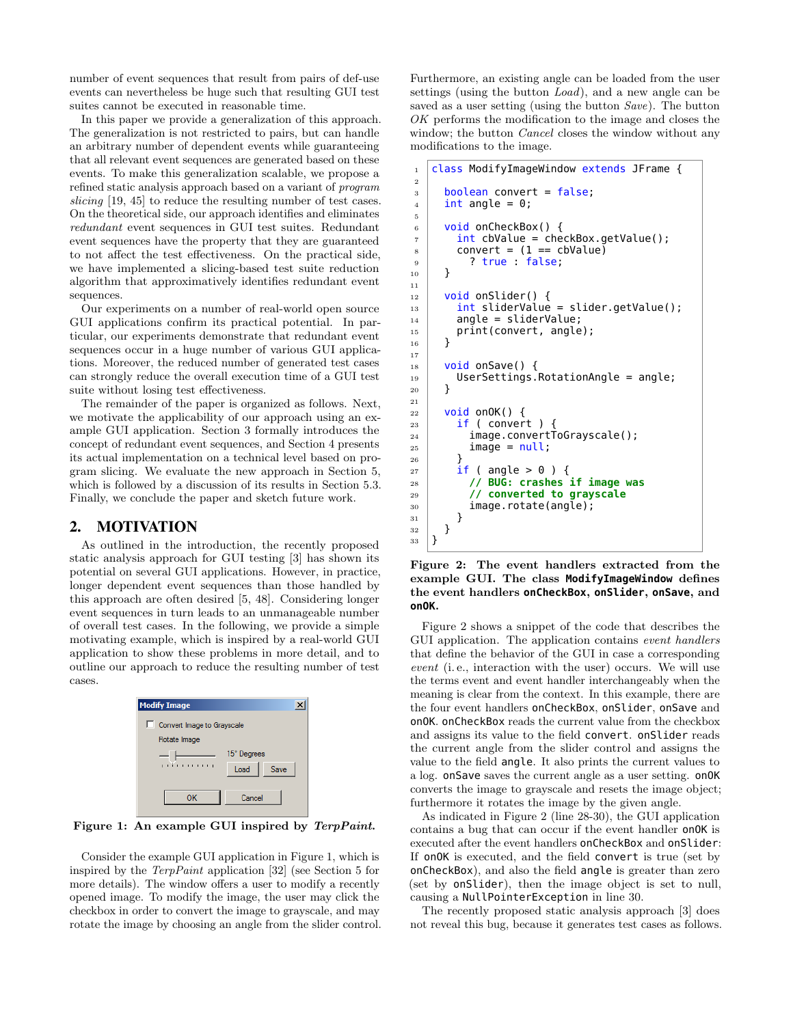number of event sequences that result from pairs of def-use events can nevertheless be huge such that resulting GUI test suites cannot be executed in reasonable time.

In this paper we provide a generalization of this approach. The generalization is not restricted to pairs, but can handle an arbitrary number of dependent events while guaranteeing that all relevant event sequences are generated based on these events. To make this generalization scalable, we propose a refined static analysis approach based on a variant of program slicing [\[19,](#page-10-8) [45\]](#page-11-1) to reduce the resulting number of test cases. On the theoretical side, our approach identifies and eliminates redundant event sequences in GUI test suites. Redundant event sequences have the property that they are guaranteed to not affect the test effectiveness. On the practical side, we have implemented a slicing-based test suite reduction algorithm that approximatively identifies redundant event sequences.

Our experiments on a number of real-world open source GUI applications confirm its practical potential. In particular, our experiments demonstrate that redundant event sequences occur in a huge number of various GUI applications. Moreover, the reduced number of generated test cases can strongly reduce the overall execution time of a GUI test suite without losing test effectiveness.

The remainder of the paper is organized as follows. Next, we motivate the applicability of our approach using an example GUI application. Section [3](#page-2-0) formally introduces the concept of redundant event sequences, and Section [4](#page-4-0) presents its actual implementation on a technical level based on program slicing. We evaluate the new approach in Section [5,](#page-6-0) which is followed by a discussion of its results in Section [5.3.](#page-8-0) Finally, we conclude the paper and sketch future work.

# 2. MOTIVATION

As outlined in the introduction, the recently proposed static analysis approach for GUI testing [\[3\]](#page-10-0) has shown its potential on several GUI applications. However, in practice, longer dependent event sequences than those handled by this approach are often desired [\[5,](#page-10-7) [48\]](#page-11-0). Considering longer event sequences in turn leads to an unmanageable number of overall test cases. In the following, we provide a simple motivating example, which is inspired by a real-world GUI application to show these problems in more detail, and to outline our approach to reduce the resulting number of test cases.

<span id="page-1-0"></span>

Figure 1: An example GUI inspired by TerpPaint.

Consider the example GUI application in Figure [1,](#page-1-0) which is inspired by the TerpPaint application [\[32\]](#page-10-9) (see Section [5](#page-6-0) for more details). The window offers a user to modify a recently opened image. To modify the image, the user may click the checkbox in order to convert the image to grayscale, and may rotate the image by choosing an angle from the slider control. Furthermore, an existing angle can be loaded from the user settings (using the button Load), and a new angle can be saved as a user setting (using the button *Save*). The button OK performs the modification to the image and closes the window; the button *Cancel* closes the window without any modifications to the image.

```
1 class ModifyImageWindow extends JFrame {
2
3 boolean convert = false;
4 \quad \text{int angle} = 0;5
6 void onCheckBox() {
7 int cbValue = checkBox.getValue();
\vert convert = (1 == cbValue)9 \mid ? true : false;
10 }
11
12 void onSlider() {
\frac{13}{13} int sliderValue = slider.getValue();
14 angle = sliderValue;
\begin{array}{c|c} 15 & \text{print}(\text{convert}, \text{ angle}); \\ 16 & \end{array}16 }
17
_{18} void onSave() {
19 UserSettings.RotationAngle = angle;
20 }
21
22 void onOK() {
_{23} | \; if ( convert )
24 image.convertToGrayscale();
25 image = null;
26 }
27 if (angle > 0) {
28 // BUG: crashes if image was
29 // converted to grayscale
30 image.rotate(angle);
31 }
32 }
33 \mid \}
```
Figure 2: The event handlers extracted from the example GUI. The class **ModifyImageWindow** defines the event handlers **onCheckBox**, **onSlider**, **onSave**, and **onOK**.

Figure [2](#page-1-1) shows a snippet of the code that describes the GUI application. The application contains event handlers that define the behavior of the GUI in case a corresponding event (i. e., interaction with the user) occurs. We will use the terms event and event handler interchangeably when the meaning is clear from the context. In this example, there are the four event handlers onCheckBox, onSlider, onSave and onOK. onCheckBox reads the current value from the checkbox and assigns its value to the field convert. onSlider reads the current angle from the slider control and assigns the value to the field angle. It also prints the current values to a log. onSave saves the current angle as a user setting. onOK converts the image to grayscale and resets the image object; furthermore it rotates the image by the given angle.

As indicated in Figure [2](#page-1-1) (line 28-30), the GUI application contains a bug that can occur if the event handler onOK is executed after the event handlers onCheckBox and onSlider: If onOK is executed, and the field convert is true (set by onCheckBox), and also the field angle is greater than zero (set by onSlider), then the image object is set to null, causing a NullPointerException in line 30.

The recently proposed static analysis approach [\[3\]](#page-10-0) does not reveal this bug, because it generates test cases as follows.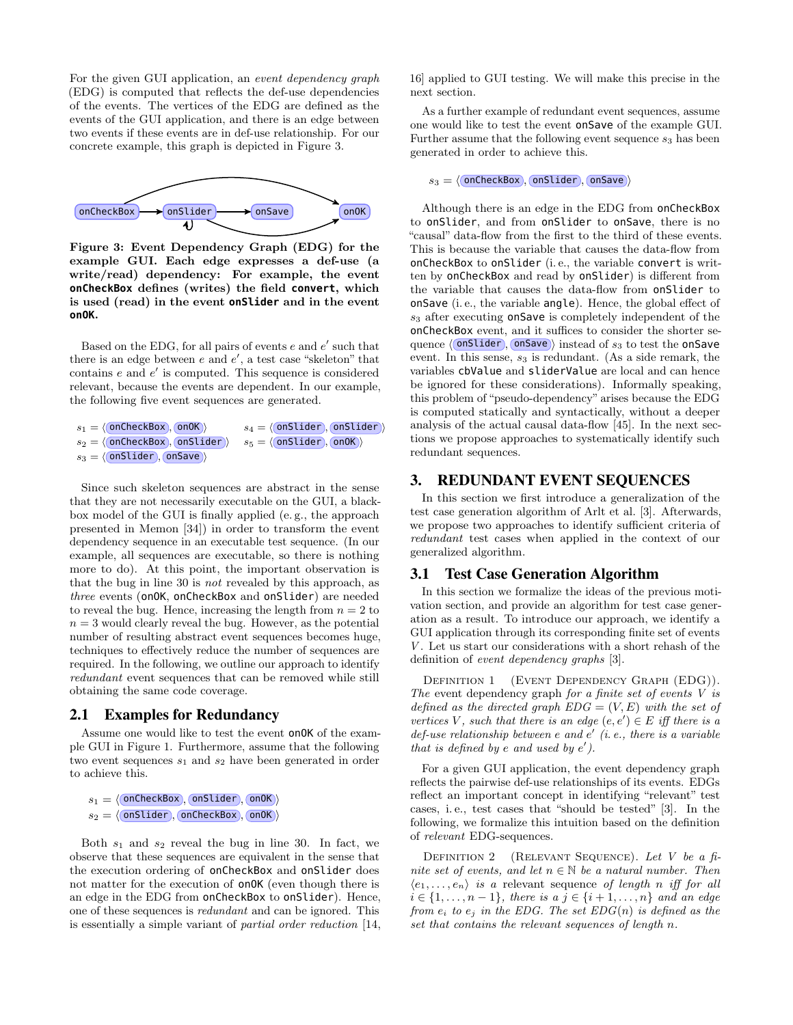For the given GUI application, an event dependency graph (EDG) is computed that reflects the def-use dependencies of the events. The vertices of the EDG are defined as the events of the GUI application, and there is an edge between two events if these events are in def-use relationship. For our concrete example, this graph is depicted in Figure [3.](#page-2-1)

<span id="page-2-1"></span>

Figure 3: Event Dependency Graph (EDG) for the example GUI. Each edge expresses a def-use (a write/read) dependency: For example, the event **onCheckBox** defines (writes) the field **convert**, which is used (read) in the event **onSlider** and in the event **onOK**.

Based on the EDG, for all pairs of events  $e$  and  $e'$  such that there is an edge between  $e$  and  $e'$ , a test case "skeleton" that contains  $e$  and  $e'$  is computed. This sequence is considered relevant, because the events are dependent. In our example, the following five event sequences are generated.

```
s_1 = \langle(onCheckBox),(onOK) s_4 = \langle(onSlider),(onSlider)<br>
s_2 = \langle(onCheckBox),(onSlider) s_5 = \langle(onSlider),(onOK)
s_2 = \langle onCheckBox , onSlider \rangles_3 = \langle \overline{\text{onSlider}} \text{,} \overline{\text{onSave}} \rangle
```
Since such skeleton sequences are abstract in the sense that they are not necessarily executable on the GUI, a blackbox model of the GUI is finally applied (e. g., the approach presented in Memon [\[34\]](#page-10-4)) in order to transform the event dependency sequence in an executable test sequence. (In our example, all sequences are executable, so there is nothing more to do). At this point, the important observation is that the bug in line 30 is not revealed by this approach, as three events (onOK, onCheckBox and onSlider) are needed to reveal the bug. Hence, increasing the length from  $n = 2$  to  $n=3$  would clearly reveal the bug. However, as the potential number of resulting abstract event sequences becomes huge, techniques to effectively reduce the number of sequences are required. In the following, we outline our approach to identify redundant event sequences that can be removed while still obtaining the same code coverage.

## 2.1 Examples for Redundancy

Assume one would like to test the event onOK of the example GUI in Figure [1.](#page-1-0) Furthermore, assume that the following two event sequences  $s_1$  and  $s_2$  have been generated in order to achieve this.

 $s_1 = \langle$  onCheckBox , onSlider , onOK $\rangle$  $s_2 = \langle \overline{\text{onSlider}} \rangle$ ,  $\overline{\text{onCheckBox}} \rangle$ ,  $\overline{\text{onOK}} \rangle$ 

Both  $s_1$  and  $s_2$  reveal the bug in line 30. In fact, we observe that these sequences are equivalent in the sense that the execution ordering of onCheckBox and onSlider does not matter for the execution of onOK (even though there is an edge in the EDG from onCheckBox to onSlider). Hence, one of these sequences is redundant and can be ignored. This is essentially a simple variant of partial order reduction [\[14,](#page-10-10) [16\]](#page-10-11) applied to GUI testing. We will make this precise in the next section.

As a further example of redundant event sequences, assume one would like to test the event onSave of the example GUI. Further assume that the following event sequence  $s_3$  has been generated in order to achieve this.

 $s_3 = \langle$  onCheckBox , onSlider , onSave  $\rangle$ 

Although there is an edge in the EDG from onCheckBox to onSlider, and from onSlider to onSave, there is no "causal" data-flow from the first to the third of these events. This is because the variable that causes the data-flow from onCheckBox to onSlider (i. e., the variable convert is written by onCheckBox and read by onSlider) is different from the variable that causes the data-flow from onSlider to onSave (i. e., the variable angle). Hence, the global effect of  $s_3$  after executing onSave is completely independent of the onCheckBox event, and it suffices to consider the shorter sequence  $\langle \overline{\text{onStaten}}, \overline{\text{onSave}} \rangle$  instead of  $s_3$  to test the onSave event. In this sense,  $s_3$  is redundant. (As a side remark, the variables cbValue and sliderValue are local and can hence be ignored for these considerations). Informally speaking, this problem of "pseudo-dependency" arises because the EDG is computed statically and syntactically, without a deeper analysis of the actual causal data-flow [\[45\]](#page-11-1). In the next sections we propose approaches to systematically identify such redundant sequences.

# <span id="page-2-0"></span>3. REDUNDANT EVENT SEQUENCES

In this section we first introduce a generalization of the test case generation algorithm of Arlt et al. [\[3\]](#page-10-0). Afterwards, we propose two approaches to identify sufficient criteria of redundant test cases when applied in the context of our generalized algorithm.

## 3.1 Test Case Generation Algorithm

In this section we formalize the ideas of the previous motivation section, and provide an algorithm for test case generation as a result. To introduce our approach, we identify a GUI application through its corresponding finite set of events  $V$ . Let us start our considerations with a short rehash of the definition of event dependency graphs [\[3\]](#page-10-0).

DEFINITION 1 (EVENT DEPENDENCY GRAPH (EDG)). The event dependency graph for a finite set of events V is defined as the directed graph  $EDG = (V, E)$  with the set of vertices V, such that there is an edge  $(e, e') \in E$  iff there is a  $def$ -use relationship between e and  $e'$  (i.e., there is a variable that is defined by  $e$  and used by  $e'$ ).

For a given GUI application, the event dependency graph reflects the pairwise def-use relationships of its events. EDGs reflect an important concept in identifying "relevant" test cases, i. e., test cases that "should be tested" [\[3\]](#page-10-0). In the following, we formalize this intuition based on the definition of relevant EDG-sequences.

DEFINITION 2 (RELEVANT SEQUENCE). Let V be a finite set of events, and let  $n \in \mathbb{N}$  be a natural number. Then  $\langle e_1, \ldots, e_n \rangle$  is a relevant sequence of length n iff for all  $i \in \{1, ..., n-1\}$ , there is a j ∈ {i + 1, ..., n} and an edge from  $e_i$  to  $e_j$  in the EDG. The set  $EDG(n)$  is defined as the set that contains the relevant sequences of length n.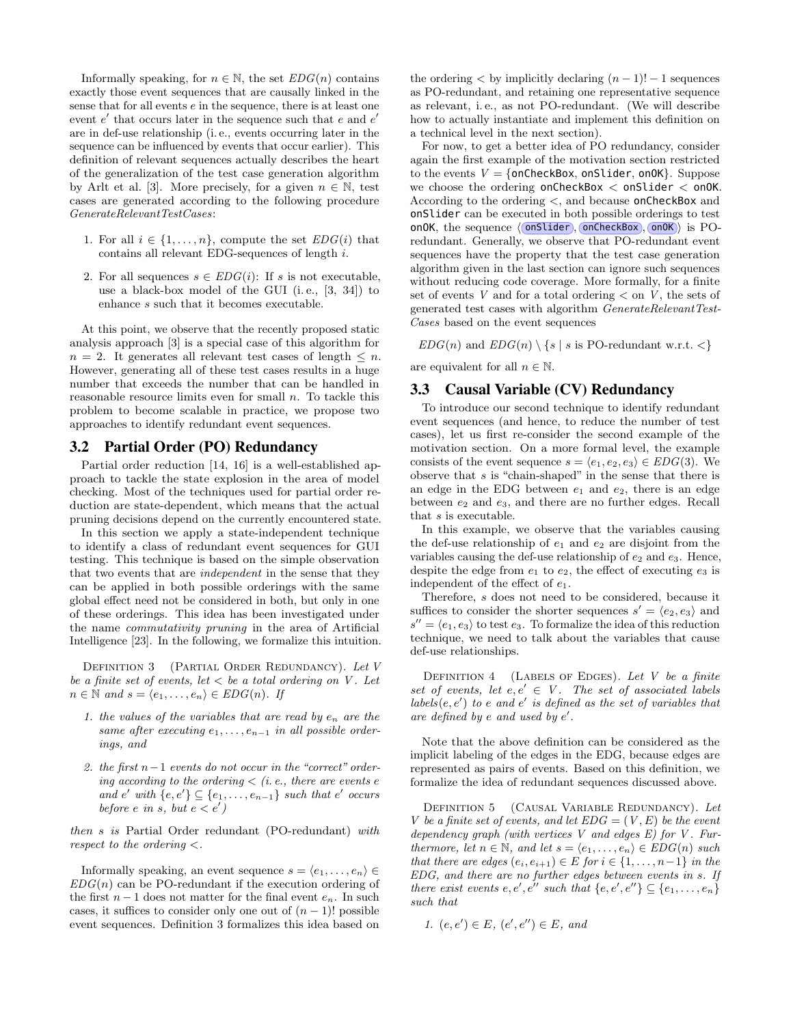Informally speaking, for  $n \in \mathbb{N}$ , the set  $EDG(n)$  contains exactly those event sequences that are causally linked in the sense that for all events  $e$  in the sequence, there is at least one event  $e'$  that occurs later in the sequence such that  $e$  and  $e'$ are in def-use relationship (i. e., events occurring later in the sequence can be influenced by events that occur earlier). This definition of relevant sequences actually describes the heart of the generalization of the test case generation algorithm by Arlt et al. [\[3\]](#page-10-0). More precisely, for a given  $n \in \mathbb{N}$ , test cases are generated according to the following procedure GenerateRelevantTestCases:

- 1. For all  $i \in \{1, \ldots, n\}$ , compute the set  $EDG(i)$  that contains all relevant EDG-sequences of length i.
- 2. For all sequences  $s \in EDG(i)$ : If s is not executable, use a black-box model of the GUI (i. e., [\[3,](#page-10-0) [34\]](#page-10-4)) to enhance s such that it becomes executable.

At this point, we observe that the recently proposed static analysis approach [\[3\]](#page-10-0) is a special case of this algorithm for  $n = 2$ . It generates all relevant test cases of length  $\leq n$ . However, generating all of these test cases results in a huge number that exceeds the number that can be handled in reasonable resource limits even for small  $n$ . To tackle this problem to become scalable in practice, we propose two approaches to identify redundant event sequences.

# 3.2 Partial Order (PO) Redundancy

Partial order reduction [\[14,](#page-10-10) [16\]](#page-10-11) is a well-established approach to tackle the state explosion in the area of model checking. Most of the techniques used for partial order reduction are state-dependent, which means that the actual pruning decisions depend on the currently encountered state.

In this section we apply a state-independent technique to identify a class of redundant event sequences for GUI testing. This technique is based on the simple observation that two events that are independent in the sense that they can be applied in both possible orderings with the same global effect need not be considered in both, but only in one of these orderings. This idea has been investigated under the name commutativity pruning in the area of Artificial Intelligence [\[23\]](#page-10-12). In the following, we formalize this intuition.

<span id="page-3-0"></span>DEFINITION 3 (PARTIAL ORDER REDUNDANCY). Let V be a finite set of events, let  $\langle$  be a total ordering on V. Let  $n \in \mathbb{N}$  and  $s = \langle e_1, \ldots, e_n \rangle \in EDG(n)$ . If

- 1. the values of the variables that are read by  $e_n$  are the same after executing  $e_1, \ldots, e_{n-1}$  in all possible orderings, and
- 2. the first n−1 events do not occur in the "correct" ordering according to the ordering  $\langle$  (i.e., there are events e and  $e'$  with  $\{e, e'\} \subseteq \{e_1, \ldots, e_{n-1}\}$  such that  $e'$  occurs before e in s, but  $e < e'$ )

then s is Partial Order redundant (PO-redundant) with respect to the ordering <.

Informally speaking, an event sequence  $s = \langle e_1, \ldots, e_n \rangle \in$  $EDG(n)$  can be PO-redundant if the execution ordering of the first  $n-1$  does not matter for the final event  $e_n$ . In such cases, it suffices to consider only one out of  $(n - 1)!$  possible event sequences. Definition [3](#page-3-0) formalizes this idea based on

the ordering  $\lt$  by implicitly declaring  $(n-1)! - 1$  sequences as PO-redundant, and retaining one representative sequence as relevant, i. e., as not PO-redundant. (We will describe how to actually instantiate and implement this definition on a technical level in the next section).

For now, to get a better idea of PO redundancy, consider again the first example of the motivation section restricted to the events  $V = \{onCheckBox, onSlider, onOK\}$ . Suppose we choose the ordering onCheckBox  $<$  onSlider  $<$  onOK. According to the ordering <, and because onCheckBox and onSlider can be executed in both possible orderings to test onOK, the sequence  $\langle$  onSlider, onCheckBox, onOK) is POredundant. Generally, we observe that PO-redundant event sequences have the property that the test case generation algorithm given in the last section can ignore such sequences without reducing code coverage. More formally, for a finite set of events  $V$  and for a total ordering  $\lt$  on  $V$ , the sets of generated test cases with algorithm GenerateRelevantTest-Cases based on the event sequences

 $EDG(n)$  and  $EDG(n) \setminus \{s \mid s \text{ is PO-redundant w.r.t. } \leq \}$ 

are equivalent for all  $n \in \mathbb{N}$ .

# 3.3 Causal Variable (CV) Redundancy

To introduce our second technique to identify redundant event sequences (and hence, to reduce the number of test cases), let us first re-consider the second example of the motivation section. On a more formal level, the example consists of the event sequence  $s = \langle e_1, e_2, e_3 \rangle \in EDG(3)$ . We observe that  $s$  is "chain-shaped" in the sense that there is an edge in the EDG between  $e_1$  and  $e_2$ , there is an edge between  $e_2$  and  $e_3$ , and there are no further edges. Recall that s is executable.

In this example, we observe that the variables causing the def-use relationship of  $e_1$  and  $e_2$  are disjoint from the variables causing the def-use relationship of  $e_2$  and  $e_3$ . Hence, despite the edge from  $e_1$  to  $e_2$ , the effect of executing  $e_3$  is independent of the effect of e1.

Therefore, s does not need to be considered, because it suffices to consider the shorter sequences  $s' = \langle e_2, e_3 \rangle$  and  $s'' = \langle e_1, e_3 \rangle$  to test  $e_3$ . To formalize the idea of this reduction technique, we need to talk about the variables that cause def-use relationships.

DEFINITION  $4$  (LABELS OF EDGES). Let V be a finite set of events, let  $e, e' \in V$ . The set of associated labels  $labels(e, e')$  to e and e' is defined as the set of variables that are defined by  $e$  and used by  $e'$ .

Note that the above definition can be considered as the implicit labeling of the edges in the EDG, because edges are represented as pairs of events. Based on this definition, we formalize the idea of redundant sequences discussed above.

DEFINITION 5 (CAUSAL VARIABLE REDUNDANCY). Let V be a finite set of events, and let  $EDG = (V, E)$  be the event dependency graph (with vertices  $V$  and edges  $E$ ) for  $V$ . Furthermore, let  $n \in \mathbb{N}$ , and let  $s = \langle e_1, \ldots, e_n \rangle \in EDG(n)$  such that there are edges  $(e_i, e_{i+1}) \in E$  for  $i \in \{1, \ldots, n-1\}$  in the EDG, and there are no further edges between events in s. If there exist events  $e, e', e''$  such that  $\{e, e', e''\} \subseteq \{e_1, \ldots, e_n\}$ such that

1. 
$$
(e, e') \in E
$$
,  $(e', e'') \in E$ , and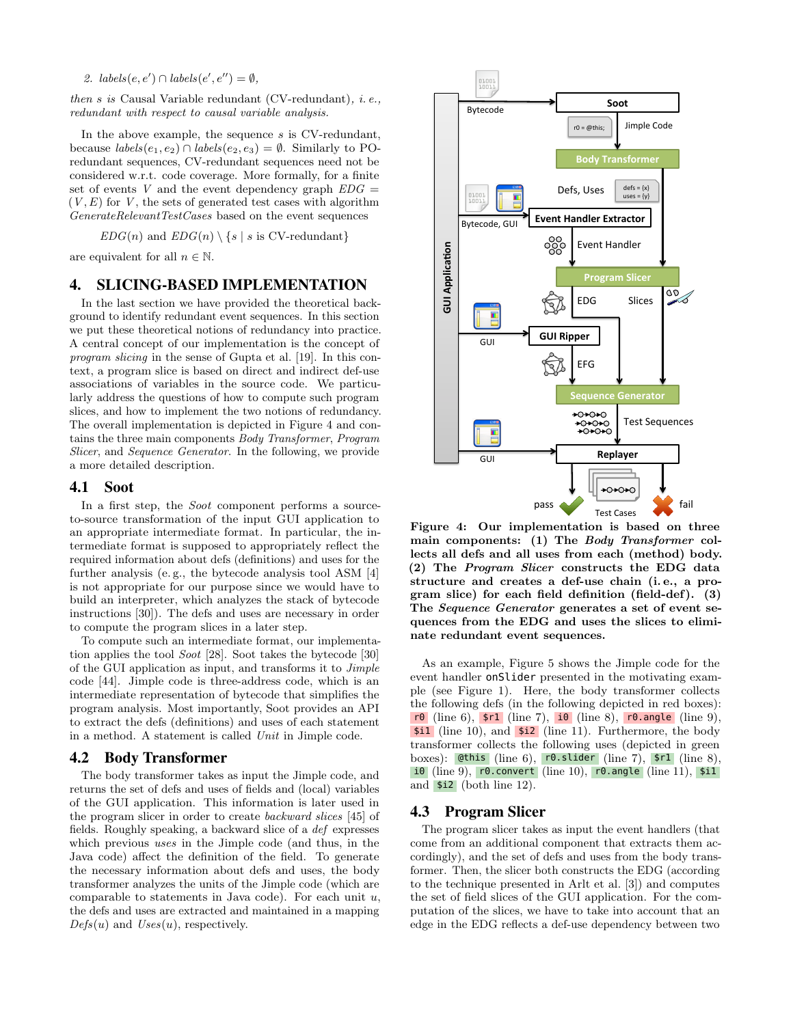2.  $labels(e, e') \cap labels(e', e'') = \emptyset$ ,

then  $s$  is Causal Variable redundant (CV-redundant), i.e., redundant with respect to causal variable analysis.

In the above example, the sequence  $s$  is CV-redundant, because  $labels(e_1, e_2) \cap labels(e_2, e_3) = \emptyset$ . Similarly to POredundant sequences, CV-redundant sequences need not be considered w.r.t. code coverage. More formally, for a finite set of events V and the event dependency graph  $EDG =$  $(V, E)$  for V, the sets of generated test cases with algorithm GenerateRelevantTestCases based on the event sequences

 $EDG(n)$  and  $EDG(n) \setminus \{s \mid s \text{ is CV-redundant}\}\$ 

are equivalent for all  $n \in \mathbb{N}$ .

# <span id="page-4-0"></span>4. SLICING-BASED IMPLEMENTATION

In the last section we have provided the theoretical background to identify redundant event sequences. In this section we put these theoretical notions of redundancy into practice. A central concept of our implementation is the concept of program slicing in the sense of Gupta et al. [\[19\]](#page-10-8). In this context, a program slice is based on direct and indirect def-use associations of variables in the source code. We particularly address the questions of how to compute such program slices, and how to implement the two notions of redundancy. The overall implementation is depicted in Figure [4](#page-4-1) and contains the three main components Body Transformer, Program Slicer, and Sequence Generator. In the following, we provide a more detailed description.

#### 4.1 Soot

In a first step, the *Soot* component performs a sourceto-source transformation of the input GUI application to an appropriate intermediate format. In particular, the intermediate format is supposed to appropriately reflect the required information about defs (definitions) and uses for the further analysis (e. g., the bytecode analysis tool ASM [\[4\]](#page-10-13) is not appropriate for our purpose since we would have to build an interpreter, which analyzes the stack of bytecode instructions [\[30\]](#page-10-14)). The defs and uses are necessary in order to compute the program slices in a later step.

To compute such an intermediate format, our implementation applies the tool Soot [\[28\]](#page-10-15). Soot takes the bytecode [\[30\]](#page-10-14) of the GUI application as input, and transforms it to Jimple code [\[44\]](#page-11-2). Jimple code is three-address code, which is an intermediate representation of bytecode that simplifies the program analysis. Most importantly, Soot provides an API to extract the defs (definitions) and uses of each statement in a method. A statement is called Unit in Jimple code.

## 4.2 Body Transformer

The body transformer takes as input the Jimple code, and returns the set of defs and uses of fields and (local) variables of the GUI application. This information is later used in the program slicer in order to create backward slices [\[45\]](#page-11-1) of fields. Roughly speaking, a backward slice of a def expresses which previous uses in the Jimple code (and thus, in the Java code) affect the definition of the field. To generate the necessary information about defs and uses, the body transformer analyzes the units of the Jimple code (which are comparable to statements in Java code). For each unit  $u$ , the defs and uses are extracted and maintained in a mapping  $Defs(u)$  and  $Uses(u)$ , respectively.

<span id="page-4-1"></span>

Figure 4: Our implementation is based on three main components: (1) The Body Transformer collects all defs and all uses from each (method) body. (2) The Program Slicer constructs the EDG data structure and creates a def-use chain (i. e., a program slice) for each field definition (field-def). (3) The Sequence Generator generates a set of event sequences from the EDG and uses the slices to eliminate redundant event sequences.

As an example, Figure [5](#page-5-0) shows the Jimple code for the event handler onSlider presented in the motivating example (see Figure [1\)](#page-1-0). Here, the body transformer collects the following defs (in the following depicted in red boxes): r0 (line 6),  $\mathfrak{sn}$  (line 7),  $\mathfrak{io}$  (line 8), r0.angle (line 9), \$i1 (line 10), and \$i2 (line 11). Furthermore, the body transformer collects the following uses (depicted in green boxes): @this (line 6), r0.slider (line 7), \$r1 (line 8), i0 (line 9), r0.convert (line 10), r0.angle (line 11), \$i1 and \$i2 (both line 12).

#### 4.3 Program Slicer

The program slicer takes as input the event handlers (that come from an additional component that extracts them accordingly), and the set of defs and uses from the body transformer. Then, the slicer both constructs the EDG (according to the technique presented in Arlt et al. [\[3\]](#page-10-0)) and computes the set of field slices of the GUI application. For the computation of the slices, we have to take into account that an edge in the EDG reflects a def-use dependency between two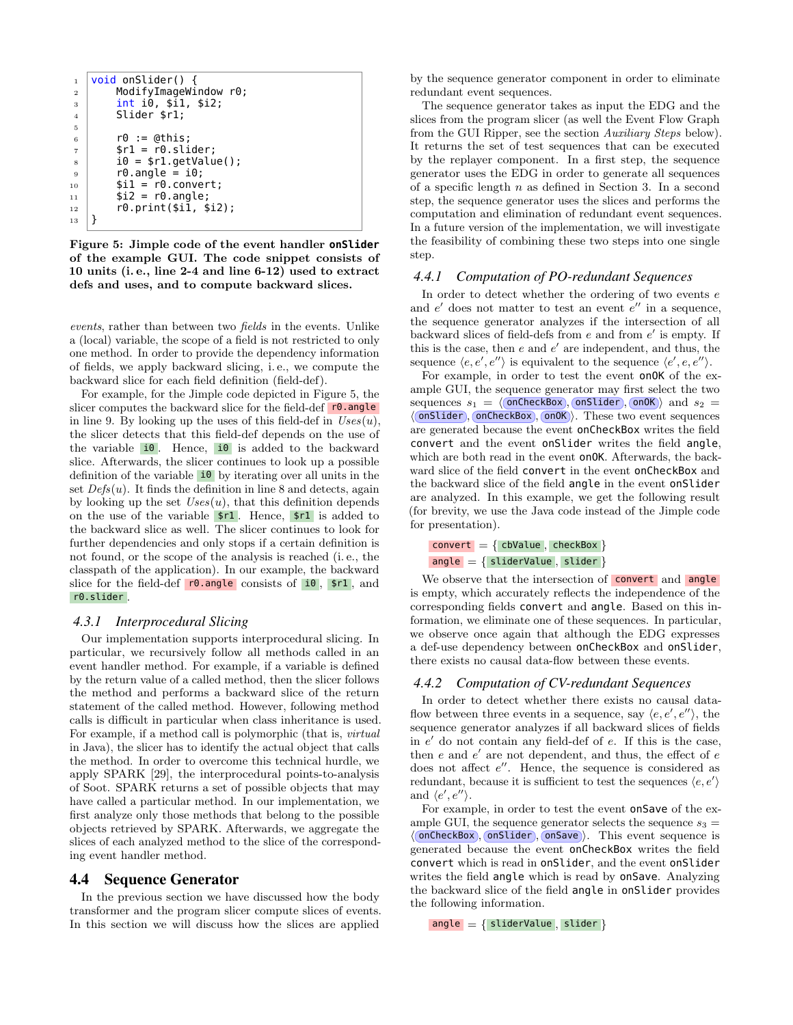```
1 void onSlider() {
2 ModifyImageWindow r0;
3 int i0, $i1, $i2;
4 Slider $r1;
5
6 \mid \qquad \text{r0} \; := \; \text{athis};7 $r1 = r0. slider;
\begin{array}{c|c} \text{s} & \text{i0} = $r1.getValue() \text{;} \end{array}9 \mid \text{r0.angle} = 10;10 \mid $i1 = r0.convert;
11 $i2 = r0.angle;
12 r0.print($i1, $i2);
13 \mid}
```
Figure 5: Jimple code of the event handler **onSlider** of the example GUI. The code snippet consists of 10 units (i. e., line 2-4 and line 6-12) used to extract defs and uses, and to compute backward slices.

events, rather than between two fields in the events. Unlike a (local) variable, the scope of a field is not restricted to only one method. In order to provide the dependency information of fields, we apply backward slicing, i. e., we compute the backward slice for each field definition (field-def).

For example, for the Jimple code depicted in Figure [5,](#page-5-0) the slicer computes the backward slice for the field-def r0.angle in line 9. By looking up the uses of this field-def in  $Uses(u)$ , the slicer detects that this field-def depends on the use of the variable  $\overline{\mathbf{10}}$ . Hence,  $\overline{\mathbf{10}}$  is added to the backward slice. Afterwards, the slicer continues to look up a possible definition of the variable  $\frac{10}{\sqrt{2}}$  by iterating over all units in the set  $Defs(u)$ . It finds the definition in line 8 and detects, again by looking up the set  $Uses(u)$ , that this definition depends on the use of the variable  $$r1$ . Hence,  $$r1$  is added to the backward slice as well. The slicer continues to look for further dependencies and only stops if a certain definition is not found, or the scope of the analysis is reached (i. e., the classpath of the application). In our example, the backward slice for the field-def  $r0.\nangle$  consists of  $i0$ ,  $\frac{10}{r}$ , and r0.slider .

#### *4.3.1 Interprocedural Slicing*

Our implementation supports interprocedural slicing. In particular, we recursively follow all methods called in an event handler method. For example, if a variable is defined by the return value of a called method, then the slicer follows the method and performs a backward slice of the return statement of the called method. However, following method calls is difficult in particular when class inheritance is used. For example, if a method call is polymorphic (that is, virtual in Java), the slicer has to identify the actual object that calls the method. In order to overcome this technical hurdle, we apply SPARK [\[29\]](#page-10-16), the interprocedural points-to-analysis of Soot. SPARK returns a set of possible objects that may have called a particular method. In our implementation, we first analyze only those methods that belong to the possible objects retrieved by SPARK. Afterwards, we aggregate the slices of each analyzed method to the slice of the corresponding event handler method.

#### 4.4 Sequence Generator

In the previous section we have discussed how the body transformer and the program slicer compute slices of events. In this section we will discuss how the slices are applied

by the sequence generator component in order to eliminate redundant event sequences.

The sequence generator takes as input the EDG and the slices from the program slicer (as well the Event Flow Graph from the GUI Ripper, see the section Auxiliary Steps below). It returns the set of test sequences that can be executed by the replayer component. In a first step, the sequence generator uses the EDG in order to generate all sequences of a specific length  $n$  as defined in Section [3.](#page-2-0) In a second step, the sequence generator uses the slices and performs the computation and elimination of redundant event sequences. In a future version of the implementation, we will investigate the feasibility of combining these two steps into one single step.

# *4.4.1 Computation of PO-redundant Sequences*

In order to detect whether the ordering of two events e and  $e'$  does not matter to test an event  $e''$  in a sequence, the sequence generator analyzes if the intersection of all backward slices of field-defs from  $e$  and from  $e'$  is empty. If this is the case, then  $e$  and  $e'$  are independent, and thus, the sequence  $\langle e, e', e'' \rangle$  is equivalent to the sequence  $\langle e', e, e'' \rangle$ .

For example, in order to test the event onOK of the example GUI, the sequence generator may first select the two sequences  $s_1 = \langle \text{onCheckBox}, \text{onSilder}, \text{onOK} \rangle$  and  $s_2 =$  $\langle$  (onSlider), onCheckBox), onOK $\rangle$ . These two event sequences are generated because the event onCheckBox writes the field convert and the event onSlider writes the field angle, which are both read in the event **onOK**. Afterwards, the backward slice of the field convert in the event onCheckBox and the backward slice of the field angle in the event onSlider are analyzed. In this example, we get the following result (for brevity, we use the Java code instead of the Jimple code for presentation).

```
convert = \{ cbValue, checkBox \}angle = { sliderValue, slider }
```
We observe that the intersection of convert and angle is empty, which accurately reflects the independence of the corresponding fields convert and angle. Based on this information, we eliminate one of these sequences. In particular, we observe once again that although the EDG expresses a def-use dependency between onCheckBox and onSlider, there exists no causal data-flow between these events.

#### *4.4.2 Computation of CV-redundant Sequences*

In order to detect whether there exists no causal dataflow between three events in a sequence, say  $\langle e, e', e'' \rangle$ , the sequence generator analyzes if all backward slices of fields in  $e'$  do not contain any field-def of  $e$ . If this is the case, then  $e$  and  $e'$  are not dependent, and thus, the effect of  $e$ does not affect  $e''$ . Hence, the sequence is considered as redundant, because it is sufficient to test the sequences  $\langle e, e' \rangle$ and  $\langle e', e'' \rangle$ .

For example, in order to test the event onSave of the example GUI, the sequence generator selects the sequence  $s_3 =$  $\langle$  onCheckBox , onSlider , onSave  $\rangle$ . This event sequence is generated because the event onCheckBox writes the field convert which is read in onSlider, and the event onSlider writes the field angle which is read by onSave. Analyzing the backward slice of the field angle in onSlider provides the following information.

angle  $=$  { sliderValue, slider }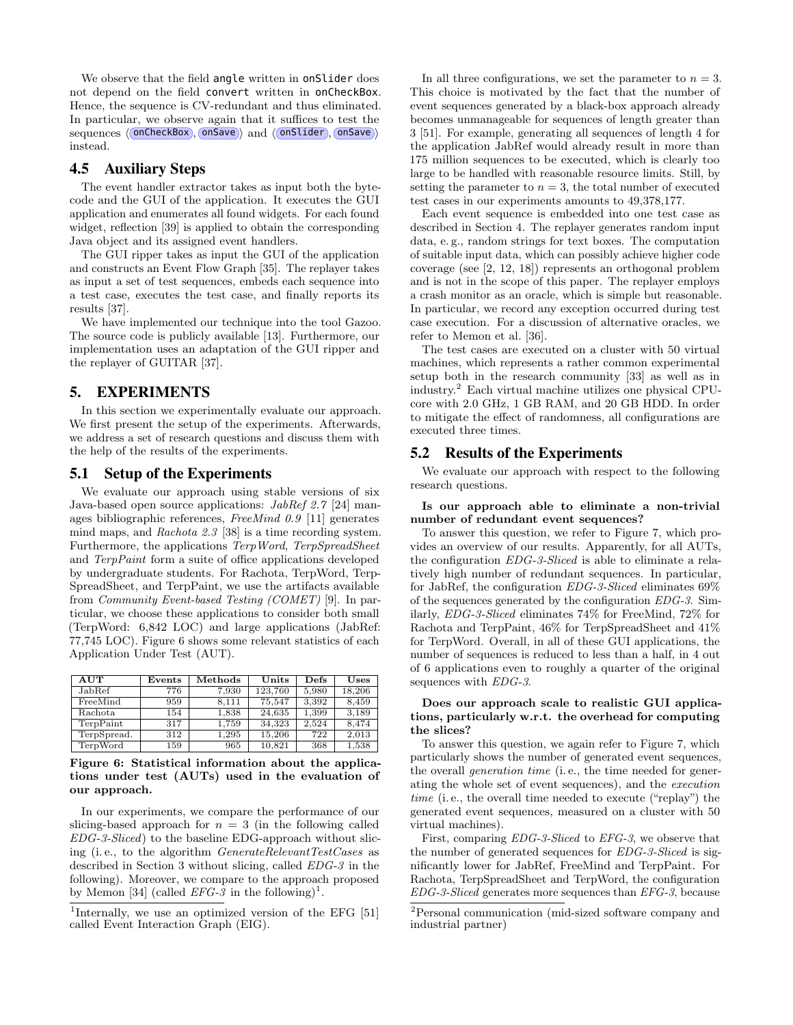We observe that the field angle written in onSlider does not depend on the field convert written in onCheckBox. Hence, the sequence is CV-redundant and thus eliminated. In particular, we observe again that it suffices to test the sequences (onCheckBox), onSave) and (onSlider), onSave) instead.

## 4.5 Auxiliary Steps

The event handler extractor takes as input both the bytecode and the GUI of the application. It executes the GUI application and enumerates all found widgets. For each found widget, reflection [\[39\]](#page-10-17) is applied to obtain the corresponding Java object and its assigned event handlers.

The GUI ripper takes as input the GUI of the application and constructs an Event Flow Graph [\[35\]](#page-10-18). The replayer takes as input a set of test sequences, embeds each sequence into a test case, executes the test case, and finally reports its results [\[37\]](#page-10-19).

We have implemented our technique into the tool Gazoo. The source code is publicly available [\[13\]](#page-10-20). Furthermore, our implementation uses an adaptation of the GUI ripper and the replayer of GUITAR [\[37\]](#page-10-19).

# <span id="page-6-0"></span>5. EXPERIMENTS

In this section we experimentally evaluate our approach. We first present the setup of the experiments. Afterwards, we address a set of research questions and discuss them with the help of the results of the experiments.

## 5.1 Setup of the Experiments

We evaluate our approach using stable versions of six Java-based open source applications: JabRef 2.7 [\[24\]](#page-10-21) manages bibliographic references, FreeMind 0.9 [\[11\]](#page-10-22) generates mind maps, and Rachota 2.3 [\[38\]](#page-10-23) is a time recording system. Furthermore, the applications TerpWord, TerpSpreadSheet and TerpPaint form a suite of office applications developed by undergraduate students. For Rachota, TerpWord, Terp-SpreadSheet, and TerpPaint, we use the artifacts available from Community Event-based Testing (COMET) [\[9\]](#page-10-24). In particular, we choose these applications to consider both small (TerpWord: 6,842 LOC) and large applications (JabRef: 77,745 LOC). Figure [6](#page-6-1) shows some relevant statistics of each Application Under Test (AUT).

<span id="page-6-1"></span>

| <b>AUT</b>      | Events | Methods | Units   | Defs  | Uses   |
|-----------------|--------|---------|---------|-------|--------|
| JabRef          | 776    | 7.930   | 123.760 | 5.980 | 18,206 |
| FreeMind        | 959    | 8.111   | 75.547  | 3.392 | 8.459  |
| Rachota         | 154    | 1.838   | 24.635  | 1.399 | 3.189  |
| TerpPaint       | 317    | 1.759   | 34.323  | 2.524 | 8.474  |
| TerpSpread.     | 312    | 1.295   | 15.206  | 722   | 2.013  |
| <b>TerpWord</b> | 159    | 965     | 10,821  | 368   | 1,538  |

Figure 6: Statistical information about the applications under test (AUTs) used in the evaluation of our approach.

In our experiments, we compare the performance of our slicing-based approach for  $n = 3$  (in the following called EDG-3-Sliced) to the baseline EDG-approach without slicing (i. e., to the algorithm GenerateRelevantTestCases as described in Section [3](#page-2-0) without slicing, called EDG-3 in the following). Moreover, we compare to the approach proposed by Memon [\[34\]](#page-10-4) (called  $EFG-3$  in the following)<sup>[1](#page-6-2)</sup>.

<span id="page-6-2"></span><sup>1</sup>Internally, we use an optimized version of the EFG [\[51\]](#page-11-3) called Event Interaction Graph (EIG).

In all three configurations, we set the parameter to  $n = 3$ . This choice is motivated by the fact that the number of event sequences generated by a black-box approach already becomes unmanageable for sequences of length greater than 3 [\[51\]](#page-11-3). For example, generating all sequences of length 4 for the application JabRef would already result in more than 175 million sequences to be executed, which is clearly too large to be handled with reasonable resource limits. Still, by setting the parameter to  $n = 3$ , the total number of executed test cases in our experiments amounts to 49,378,177.

Each event sequence is embedded into one test case as described in Section [4.](#page-4-0) The replayer generates random input data, e. g., random strings for text boxes. The computation of suitable input data, which can possibly achieve higher code coverage (see [\[2,](#page-10-25) [12,](#page-10-5) [18\]](#page-10-2)) represents an orthogonal problem and is not in the scope of this paper. The replayer employs a crash monitor as an oracle, which is simple but reasonable. In particular, we record any exception occurred during test case execution. For a discussion of alternative oracles, we refer to Memon et al. [\[36\]](#page-10-26).

The test cases are executed on a cluster with 50 virtual machines, which represents a rather common experimental setup both in the research community [\[33\]](#page-10-27) as well as in industry.[2](#page-6-3) Each virtual machine utilizes one physical CPUcore with 2.0 GHz, 1 GB RAM, and 20 GB HDD. In order to mitigate the effect of randomness, all configurations are executed three times.

# 5.2 Results of the Experiments

We evaluate our approach with respect to the following research questions.

#### Is our approach able to eliminate a non-trivial number of redundant event sequences?

To answer this question, we refer to Figure [7,](#page-7-0) which provides an overview of our results. Apparently, for all AUTs, the configuration EDG-3-Sliced is able to eliminate a relatively high number of redundant sequences. In particular, for JabRef, the configuration EDG-3-Sliced eliminates 69% of the sequences generated by the configuration EDG-3. Similarly, EDG-3-Sliced eliminates 74% for FreeMind, 72% for Rachota and TerpPaint, 46% for TerpSpreadSheet and 41% for TerpWord. Overall, in all of these GUI applications, the number of sequences is reduced to less than a half, in 4 out of 6 applications even to roughly a quarter of the original sequences with EDG-3.

#### Does our approach scale to realistic GUI applications, particularly w.r.t. the overhead for computing the slices?

To answer this question, we again refer to Figure [7,](#page-7-0) which particularly shows the number of generated event sequences, the overall generation time (i. e., the time needed for generating the whole set of event sequences), and the execution time (i. e., the overall time needed to execute ("replay") the generated event sequences, measured on a cluster with 50 virtual machines).

First, comparing EDG-3-Sliced to EFG-3, we observe that the number of generated sequences for EDG-3-Sliced is significantly lower for JabRef, FreeMind and TerpPaint. For Rachota, TerpSpreadSheet and TerpWord, the configuration EDG-3-Sliced generates more sequences than EFG-3, because

<span id="page-6-3"></span><sup>2</sup>Personal communication (mid-sized software company and industrial partner)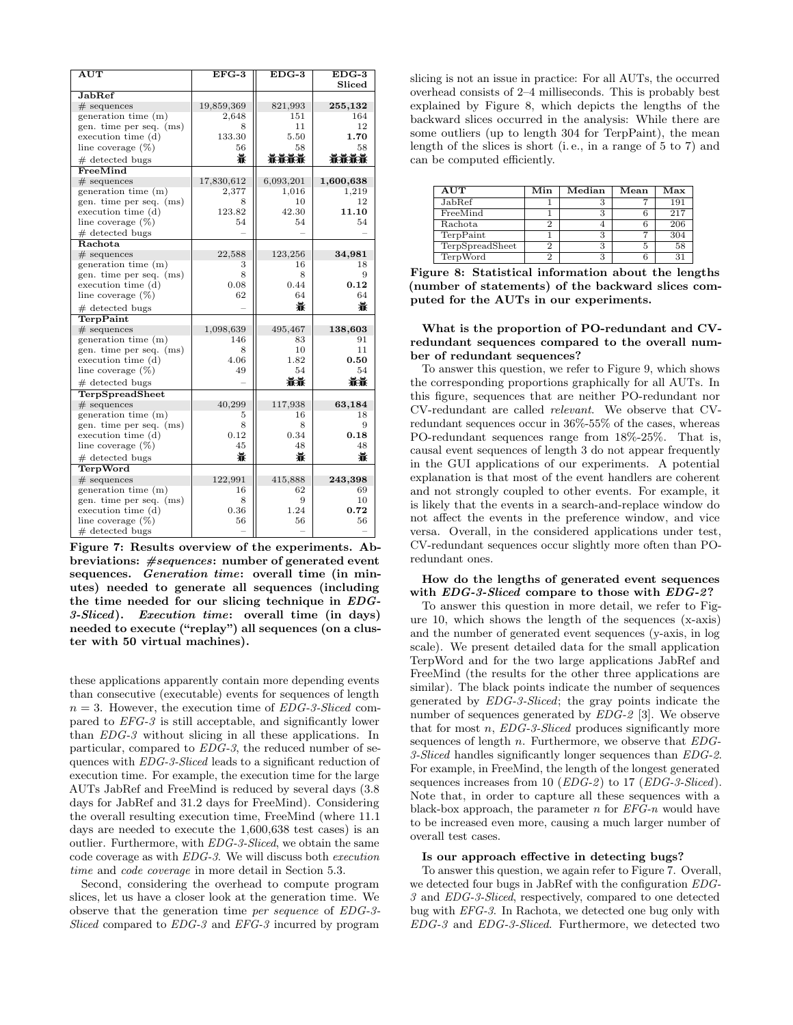<span id="page-7-0"></span>

| $\overline{\rm AUT}$    | $EFG-3$    | $EDG-3$   | $EDG-3$   |
|-------------------------|------------|-----------|-----------|
|                         |            |           | Sliced    |
| <b>JabRef</b>           |            |           |           |
| $#$ sequences           | 19,859,369 | 821,993   | 255,132   |
| generation time (m)     | 2,648      | 151       | 164       |
| gen. time per seq. (ms) | 8          | 11        | 12        |
| execution time (d)      | 133.30     | 5.50      | 1.70      |
| line coverage $(\%)$    | 56         | 58        | 58        |
| $#$ detected bugs       | 靠          | 兼兼兼兼      | 兼兼兼兼      |
| FreeMind                |            |           |           |
| $#$ sequences           | 17,830,612 | 6,093,201 | 1,600,638 |
| generation time (m)     | 2,377      | 1,016     | 1,219     |
| gen. time per seq. (ms) | 8          | 10        | 12        |
| execution time (d)      | 123.82     | 42.30     | 11.10     |
| line coverage $(\%)$    | 54         | 54        | 54        |
| $#$ detected bugs       |            |           |           |
| Rachota                 |            |           |           |
| $#$ sequences           | 22,588     | 123,256   | 34,981    |
| generation time (m)     | 3          | 16        | 18        |
| gen. time per seq. (ms) | 8          | 8         | 9         |
| execution time (d)      | 0.08       | 0.44      | 0.12      |
| line coverage $(\%)$    | 62         | 64        | 64        |
| $#$ detected bugs       |            | 靠         | 靠         |
| TerpPaint               |            |           |           |
| $#$ sequences           | 1,098,639  | 495,467   | 138,603   |
| generation time (m)     | 146        | 83        | 91        |
| gen. time per seq. (ms) | 8          | 10        | 11        |
| execution time (d)      | 4.06       | 1.82      | 0.50      |
| line coverage $(\%)$    | 54<br>49   |           | 54        |
| $#$ detected bugs       |            | 兼兼        | 兼兼        |
| TerpSpreadSheet         |            |           |           |
| $#$ sequences           | 40,299     | 117,938   | 63,184    |
| generation time (m)     | 5          | 16        | 18        |
| gen. time per seq. (ms) | 8          | 8         | 9         |
| execution time (d)      | 0.12       | 0.34      | 0.18      |
| line coverage $(\%)$    | 45         | 48        | 48        |
| $#$ detected bugs       | 靠          | 靠         | 靠         |
| <b>TerpWord</b>         |            |           |           |
| $#$ sequences           | 122,991    | 415,888   | 243,398   |
| generation time (m)     | 16         | 62        | 69        |
| gen. time per seq. (ms) | 8          | 9         | 10        |
| execution time (d)      | 0.36       | 1.24      | 0.72      |
| line coverage $(\%)$    | 56         | 56        | 56        |
| # detected bugs         |            |           |           |

Figure 7: Results overview of the experiments. Abbreviations: #sequences: number of generated event sequences. Generation time: overall time (in minutes) needed to generate all sequences (including the time needed for our slicing technique in EDG-3-Sliced). Execution time: overall time (in days) needed to execute ("replay") all sequences (on a cluster with 50 virtual machines).

these applications apparently contain more depending events than consecutive (executable) events for sequences of length  $n = 3$ . However, the execution time of EDG-3-Sliced compared to EFG-3 is still acceptable, and significantly lower than EDG-3 without slicing in all these applications. In particular, compared to EDG-3, the reduced number of sequences with EDG-3-Sliced leads to a significant reduction of execution time. For example, the execution time for the large AUTs JabRef and FreeMind is reduced by several days (3.8 days for JabRef and 31.2 days for FreeMind). Considering the overall resulting execution time, FreeMind (where 11.1 days are needed to execute the 1,600,638 test cases) is an outlier. Furthermore, with EDG-3-Sliced, we obtain the same code coverage as with EDG-3. We will discuss both execution time and code coverage in more detail in Section [5.3.](#page-8-0)

Second, considering the overhead to compute program slices, let us have a closer look at the generation time. We observe that the generation time per sequence of EDG-3- Sliced compared to  $EDG-3$  and  $EFG-3$  incurred by program slicing is not an issue in practice: For all AUTs, the occurred overhead consists of 2–4 milliseconds. This is probably best explained by Figure [8,](#page-7-1) which depicts the lengths of the backward slices occurred in the analysis: While there are some outliers (up to length 304 for TerpPaint), the mean length of the slices is short (i. e., in a range of 5 to 7) and can be computed efficiently.

<span id="page-7-1"></span>

| AUT             | Min | Median | Mean | ${\rm Max}$ |
|-----------------|-----|--------|------|-------------|
| JabRef          |     |        |      | 191         |
| FreeMind        |     |        |      | 217         |
| Rachota         |     |        |      | 206         |
| TerpPaint       |     |        |      | 304         |
| TerpSpreadSheet |     |        | 5    | 58          |
| TerpWord        |     |        |      |             |

Figure 8: Statistical information about the lengths (number of statements) of the backward slices computed for the AUTs in our experiments.

What is the proportion of PO-redundant and CVredundant sequences compared to the overall number of redundant sequences?

To answer this question, we refer to Figure [9,](#page-8-1) which shows the corresponding proportions graphically for all AUTs. In this figure, sequences that are neither PO-redundant nor CV-redundant are called relevant. We observe that CVredundant sequences occur in 36%-55% of the cases, whereas PO-redundant sequences range from 18%-25%. That is, causal event sequences of length 3 do not appear frequently in the GUI applications of our experiments. A potential explanation is that most of the event handlers are coherent and not strongly coupled to other events. For example, it is likely that the events in a search-and-replace window do not affect the events in the preference window, and vice versa. Overall, in the considered applications under test, CV-redundant sequences occur slightly more often than POredundant ones.

#### How do the lengths of generated event sequences with *EDG-3-Sliced* compare to those with *EDG-2?*

To answer this question in more detail, we refer to Figure [10,](#page-8-2) which shows the length of the sequences (x-axis) and the number of generated event sequences (y-axis, in log scale). We present detailed data for the small application TerpWord and for the two large applications JabRef and FreeMind (the results for the other three applications are similar). The black points indicate the number of sequences generated by EDG-3-Sliced; the gray points indicate the number of sequences generated by EDG-2 [\[3\]](#page-10-0). We observe that for most n, EDG-3-Sliced produces significantly more sequences of length n. Furthermore, we observe that  $EDG-$ 3-Sliced handles significantly longer sequences than EDG-2. For example, in FreeMind, the length of the longest generated sequences increases from 10 ( $EDG-2$ ) to 17 ( $EDG-3-Sliced$ ). Note that, in order to capture all these sequences with a black-box approach, the parameter  $n$  for  $EFG-n$  would have to be increased even more, causing a much larger number of overall test cases.

#### Is our approach effective in detecting bugs?

To answer this question, we again refer to Figure [7.](#page-7-0) Overall, we detected four bugs in JabRef with the configuration EDG-3 and EDG-3-Sliced, respectively, compared to one detected bug with EFG-3. In Rachota, we detected one bug only with EDG-3 and EDG-3-Sliced. Furthermore, we detected two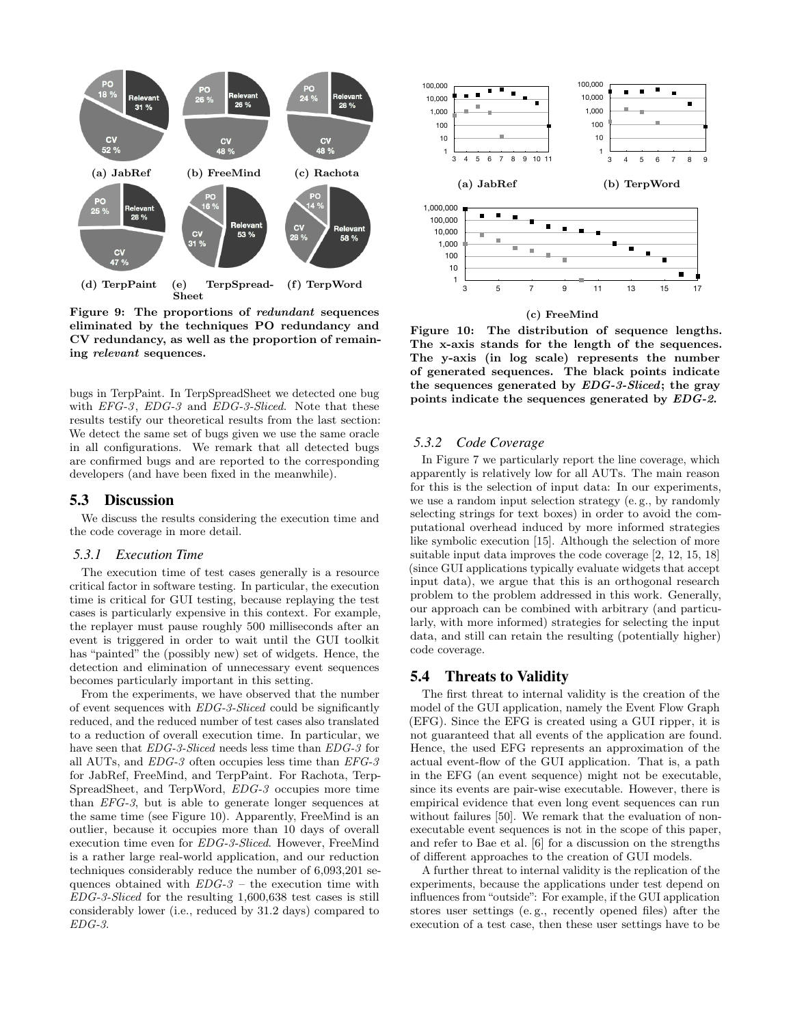<span id="page-8-1"></span>

Figure 9: The proportions of redundant sequences eliminated by the techniques PO redundancy and CV redundancy, as well as the proportion of remaining relevant sequences.

bugs in TerpPaint. In TerpSpreadSheet we detected one bug with *EFG-3*, *EDG-3* and *EDG-3-Sliced*. Note that these results testify our theoretical results from the last section: We detect the same set of bugs given we use the same oracle in all configurations. We remark that all detected bugs are confirmed bugs and are reported to the corresponding developers (and have been fixed in the meanwhile).

## <span id="page-8-0"></span>5.3 Discussion

We discuss the results considering the execution time and the code coverage in more detail.

#### *5.3.1 Execution Time*

The execution time of test cases generally is a resource critical factor in software testing. In particular, the execution time is critical for GUI testing, because replaying the test cases is particularly expensive in this context. For example, the replayer must pause roughly 500 milliseconds after an event is triggered in order to wait until the GUI toolkit has "painted" the (possibly new) set of widgets. Hence, the detection and elimination of unnecessary event sequences becomes particularly important in this setting.

From the experiments, we have observed that the number of event sequences with  $EDG-3-Sliced$  could be significantly reduced, and the reduced number of test cases also translated to a reduction of overall execution time. In particular, we have seen that  $EDG-3-Sliced$  needs less time than  $EDG-3$  for all AUTs, and EDG-3 often occupies less time than EFG-3 for JabRef, FreeMind, and TerpPaint. For Rachota, Terp-SpreadSheet, and TerpWord, EDG-3 occupies more time than EFG-3, but is able to generate longer sequences at the same time (see Figure [10\)](#page-8-2). Apparently, FreeMind is an outlier, because it occupies more than 10 days of overall execution time even for EDG-3-Sliced. However, FreeMind is a rather large real-world application, and our reduction techniques considerably reduce the number of 6,093,201 sequences obtained with  $EDG-3$  – the execution time with EDG-3-Sliced for the resulting 1,600,638 test cases is still considerably lower (i.e., reduced by 31.2 days) compared to EDG-3.

<span id="page-8-2"></span>

(c) FreeMind

Figure 10: The distribution of sequence lengths. The x-axis stands for the length of the sequences. The y-axis (in log scale) represents the number of generated sequences. The black points indicate the sequences generated by EDG-3-Sliced; the gray points indicate the sequences generated by EDG-2.

#### *5.3.2 Code Coverage*

In Figure [7](#page-7-0) we particularly report the line coverage, which apparently is relatively low for all AUTs. The main reason for this is the selection of input data: In our experiments, we use a random input selection strategy (e. g., by randomly selecting strings for text boxes) in order to avoid the computational overhead induced by more informed strategies like symbolic execution [\[15\]](#page-10-28). Although the selection of more suitable input data improves the code coverage [\[2,](#page-10-25) [12,](#page-10-5) [15,](#page-10-28) [18\]](#page-10-2) (since GUI applications typically evaluate widgets that accept input data), we argue that this is an orthogonal research problem to the problem addressed in this work. Generally, our approach can be combined with arbitrary (and particularly, with more informed) strategies for selecting the input data, and still can retain the resulting (potentially higher) code coverage.

## 5.4 Threats to Validity

The first threat to internal validity is the creation of the model of the GUI application, namely the Event Flow Graph (EFG). Since the EFG is created using a GUI ripper, it is not guaranteed that all events of the application are found. Hence, the used EFG represents an approximation of the actual event-flow of the GUI application. That is, a path in the EFG (an event sequence) might not be executable, since its events are pair-wise executable. However, there is empirical evidence that even long event sequences can run without failures [\[50\]](#page-11-4). We remark that the evaluation of nonexecutable event sequences is not in the scope of this paper, and refer to Bae et al. [\[6\]](#page-10-29) for a discussion on the strengths of different approaches to the creation of GUI models.

A further threat to internal validity is the replication of the experiments, because the applications under test depend on influences from "outside": For example, if the GUI application stores user settings (e. g., recently opened files) after the execution of a test case, then these user settings have to be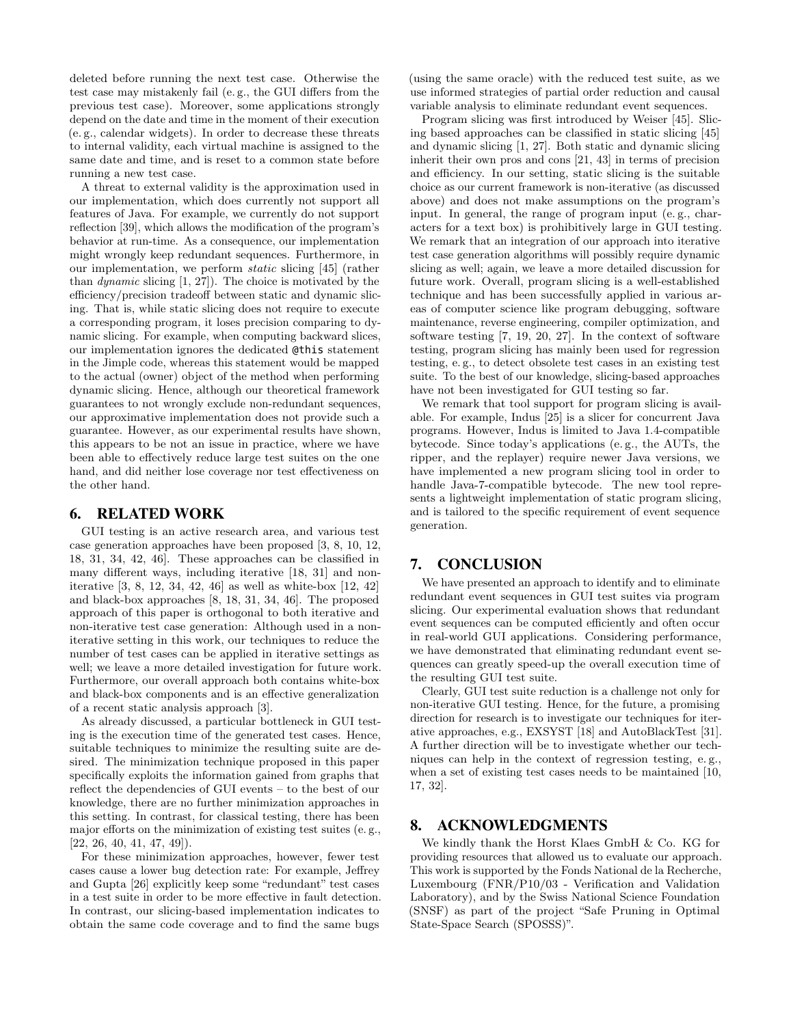deleted before running the next test case. Otherwise the test case may mistakenly fail (e. g., the GUI differs from the previous test case). Moreover, some applications strongly depend on the date and time in the moment of their execution (e. g., calendar widgets). In order to decrease these threats to internal validity, each virtual machine is assigned to the same date and time, and is reset to a common state before running a new test case.

A threat to external validity is the approximation used in our implementation, which does currently not support all features of Java. For example, we currently do not support reflection [\[39\]](#page-10-17), which allows the modification of the program's behavior at run-time. As a consequence, our implementation might wrongly keep redundant sequences. Furthermore, in our implementation, we perform static slicing [\[45\]](#page-11-1) (rather than dynamic slicing [\[1,](#page-10-30) [27\]](#page-10-31)). The choice is motivated by the efficiency/precision tradeoff between static and dynamic slicing. That is, while static slicing does not require to execute a corresponding program, it loses precision comparing to dynamic slicing. For example, when computing backward slices, our implementation ignores the dedicated @this statement in the Jimple code, whereas this statement would be mapped to the actual (owner) object of the method when performing dynamic slicing. Hence, although our theoretical framework guarantees to not wrongly exclude non-redundant sequences, our approximative implementation does not provide such a guarantee. However, as our experimental results have shown, this appears to be not an issue in practice, where we have been able to effectively reduce large test suites on the one hand, and did neither lose coverage nor test effectiveness on the other hand.

## 6. RELATED WORK

GUI testing is an active research area, and various test case generation approaches have been proposed [\[3,](#page-10-0) [8,](#page-10-1) [10,](#page-10-32) [12,](#page-10-5) [18,](#page-10-2) [31,](#page-10-3) [34,](#page-10-4) [42,](#page-10-6) [46\]](#page-11-5). These approaches can be classified in many different ways, including iterative [\[18,](#page-10-2) [31\]](#page-10-3) and noniterative [\[3,](#page-10-0) [8,](#page-10-1) [12,](#page-10-5) [34,](#page-10-4) [42,](#page-10-6) [46\]](#page-11-5) as well as white-box [\[12,](#page-10-5) [42\]](#page-10-6) and black-box approaches [\[8,](#page-10-1) [18,](#page-10-2) [31,](#page-10-3) [34,](#page-10-4) [46\]](#page-11-5). The proposed approach of this paper is orthogonal to both iterative and non-iterative test case generation: Although used in a noniterative setting in this work, our techniques to reduce the number of test cases can be applied in iterative settings as well; we leave a more detailed investigation for future work. Furthermore, our overall approach both contains white-box and black-box components and is an effective generalization of a recent static analysis approach [\[3\]](#page-10-0).

As already discussed, a particular bottleneck in GUI testing is the execution time of the generated test cases. Hence, suitable techniques to minimize the resulting suite are desired. The minimization technique proposed in this paper specifically exploits the information gained from graphs that reflect the dependencies of GUI events – to the best of our knowledge, there are no further minimization approaches in this setting. In contrast, for classical testing, there has been major efforts on the minimization of existing test suites (e. g.,  $[22, 26, 40, 41, 47, 49]$  $[22, 26, 40, 41, 47, 49]$  $[22, 26, 40, 41, 47, 49]$  $[22, 26, 40, 41, 47, 49]$  $[22, 26, 40, 41, 47, 49]$  $[22, 26, 40, 41, 47, 49]$ .

For these minimization approaches, however, fewer test cases cause a lower bug detection rate: For example, Jeffrey and Gupta [\[26\]](#page-10-34) explicitly keep some "redundant" test cases in a test suite in order to be more effective in fault detection. In contrast, our slicing-based implementation indicates to obtain the same code coverage and to find the same bugs

(using the same oracle) with the reduced test suite, as we use informed strategies of partial order reduction and causal variable analysis to eliminate redundant event sequences.

Program slicing was first introduced by Weiser [\[45\]](#page-11-1). Slicing based approaches can be classified in static slicing [\[45\]](#page-11-1) and dynamic slicing [\[1,](#page-10-30) [27\]](#page-10-31). Both static and dynamic slicing inherit their own pros and cons [\[21,](#page-10-37) [43\]](#page-11-8) in terms of precision and efficiency. In our setting, static slicing is the suitable choice as our current framework is non-iterative (as discussed above) and does not make assumptions on the program's input. In general, the range of program input (e. g., characters for a text box) is prohibitively large in GUI testing. We remark that an integration of our approach into iterative test case generation algorithms will possibly require dynamic slicing as well; again, we leave a more detailed discussion for future work. Overall, program slicing is a well-established technique and has been successfully applied in various areas of computer science like program debugging, software maintenance, reverse engineering, compiler optimization, and software testing [\[7,](#page-10-38) [19,](#page-10-8) [20,](#page-10-39) [27\]](#page-10-31). In the context of software testing, program slicing has mainly been used for regression testing, e. g., to detect obsolete test cases in an existing test suite. To the best of our knowledge, slicing-based approaches have not been investigated for GUI testing so far.

We remark that tool support for program slicing is available. For example, Indus [\[25\]](#page-10-40) is a slicer for concurrent Java programs. However, Indus is limited to Java 1.4-compatible bytecode. Since today's applications (e. g., the AUTs, the ripper, and the replayer) require newer Java versions, we have implemented a new program slicing tool in order to handle Java-7-compatible bytecode. The new tool represents a lightweight implementation of static program slicing, and is tailored to the specific requirement of event sequence generation.

# 7. CONCLUSION

We have presented an approach to identify and to eliminate redundant event sequences in GUI test suites via program slicing. Our experimental evaluation shows that redundant event sequences can be computed efficiently and often occur in real-world GUI applications. Considering performance, we have demonstrated that eliminating redundant event sequences can greatly speed-up the overall execution time of the resulting GUI test suite.

Clearly, GUI test suite reduction is a challenge not only for non-iterative GUI testing. Hence, for the future, a promising direction for research is to investigate our techniques for iterative approaches, e.g., EXSYST [\[18\]](#page-10-2) and AutoBlackTest [\[31\]](#page-10-3). A further direction will be to investigate whether our techniques can help in the context of regression testing, e. g., when a set of existing test cases needs to be maintained [\[10,](#page-10-32) [17,](#page-10-41) [32\]](#page-10-9).

# 8. ACKNOWLEDGMENTS

We kindly thank the Horst Klaes GmbH & Co. KG for providing resources that allowed us to evaluate our approach. This work is supported by the Fonds National de la Recherche, Luxembourg (FNR/P10/03 - Verification and Validation Laboratory), and by the Swiss National Science Foundation (SNSF) as part of the project "Safe Pruning in Optimal State-Space Search (SPOSSS)".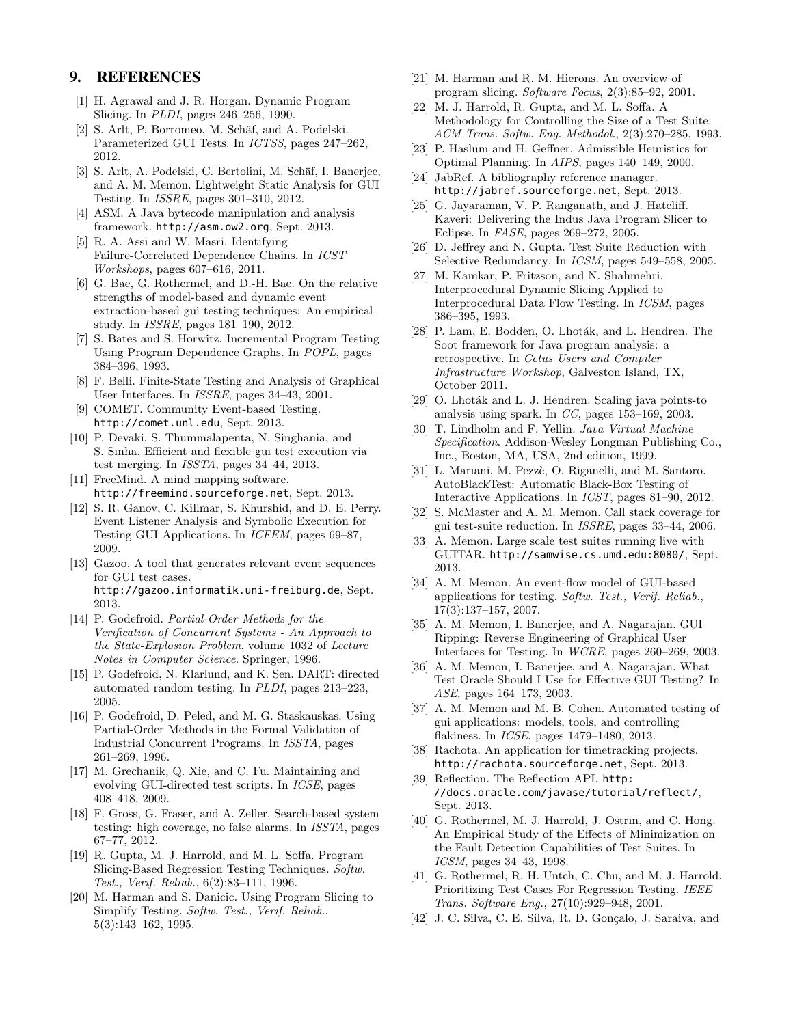# 9. REFERENCES

- <span id="page-10-30"></span>[1] H. Agrawal and J. R. Horgan. Dynamic Program Slicing. In PLDI, pages 246–256, 1990.
- <span id="page-10-25"></span>S. Arlt, P. Borromeo, M. Schäf, and A. Podelski. Parameterized GUI Tests. In ICTSS, pages 247–262, 2012.
- <span id="page-10-0"></span>[3] S. Arlt, A. Podelski, C. Bertolini, M. Schäf, I. Banerjee, and A. M. Memon. Lightweight Static Analysis for GUI Testing. In ISSRE, pages 301–310, 2012.
- <span id="page-10-13"></span>[4] ASM. A Java bytecode manipulation and analysis framework. <http://asm.ow2.org>, Sept. 2013.
- <span id="page-10-7"></span>[5] R. A. Assi and W. Masri. Identifying Failure-Correlated Dependence Chains. In ICST Workshops, pages 607–616, 2011.
- <span id="page-10-29"></span>[6] G. Bae, G. Rothermel, and D.-H. Bae. On the relative strengths of model-based and dynamic event extraction-based gui testing techniques: An empirical study. In ISSRE, pages 181–190, 2012.
- <span id="page-10-38"></span>[7] S. Bates and S. Horwitz. Incremental Program Testing Using Program Dependence Graphs. In POPL, pages 384–396, 1993.
- <span id="page-10-1"></span>[8] F. Belli. Finite-State Testing and Analysis of Graphical User Interfaces. In ISSRE, pages 34–43, 2001.
- <span id="page-10-24"></span>[9] COMET. Community Event-based Testing. <http://comet.unl.edu>, Sept. 2013.
- <span id="page-10-32"></span>[10] P. Devaki, S. Thummalapenta, N. Singhania, and S. Sinha. Efficient and flexible gui test execution via test merging. In ISSTA, pages 34–44, 2013.
- <span id="page-10-22"></span>[11] FreeMind. A mind mapping software. <http://freemind.sourceforge.net>, Sept. 2013.
- <span id="page-10-5"></span>[12] S. R. Ganov, C. Killmar, S. Khurshid, and D. E. Perry. Event Listener Analysis and Symbolic Execution for Testing GUI Applications. In ICFEM, pages 69–87, 2009.
- <span id="page-10-20"></span>[13] Gazoo. A tool that generates relevant event sequences for GUI test cases. <http://gazoo.informatik.uni-freiburg.de>, Sept. 2013.
- <span id="page-10-10"></span>[14] P. Godefroid. Partial-Order Methods for the Verification of Concurrent Systems - An Approach to the State-Explosion Problem, volume 1032 of Lecture Notes in Computer Science. Springer, 1996.
- <span id="page-10-28"></span>[15] P. Godefroid, N. Klarlund, and K. Sen. DART: directed automated random testing. In PLDI, pages 213–223, 2005.
- <span id="page-10-11"></span>[16] P. Godefroid, D. Peled, and M. G. Staskauskas. Using Partial-Order Methods in the Formal Validation of Industrial Concurrent Programs. In ISSTA, pages 261–269, 1996.
- <span id="page-10-41"></span>[17] M. Grechanik, Q. Xie, and C. Fu. Maintaining and evolving GUI-directed test scripts. In ICSE, pages 408–418, 2009.
- <span id="page-10-2"></span>[18] F. Gross, G. Fraser, and A. Zeller. Search-based system testing: high coverage, no false alarms. In ISSTA, pages 67–77, 2012.
- <span id="page-10-8"></span>[19] R. Gupta, M. J. Harrold, and M. L. Soffa. Program Slicing-Based Regression Testing Techniques. Softw. Test., Verif. Reliab., 6(2):83–111, 1996.
- <span id="page-10-39"></span>[20] M. Harman and S. Danicic. Using Program Slicing to Simplify Testing. Softw. Test., Verif. Reliab., 5(3):143–162, 1995.
- <span id="page-10-37"></span>[21] M. Harman and R. M. Hierons. An overview of program slicing. Software Focus, 2(3):85–92, 2001.
- <span id="page-10-33"></span>[22] M. J. Harrold, R. Gupta, and M. L. Soffa. A Methodology for Controlling the Size of a Test Suite. ACM Trans. Softw. Eng. Methodol., 2(3):270–285, 1993.
- <span id="page-10-12"></span>[23] P. Haslum and H. Geffner. Admissible Heuristics for Optimal Planning. In AIPS, pages 140–149, 2000.
- <span id="page-10-21"></span>[24] JabRef. A bibliography reference manager. <http://jabref.sourceforge.net>, Sept. 2013.
- <span id="page-10-40"></span>[25] G. Jayaraman, V. P. Ranganath, and J. Hatcliff. Kaveri: Delivering the Indus Java Program Slicer to Eclipse. In FASE, pages 269–272, 2005.
- <span id="page-10-34"></span>[26] D. Jeffrey and N. Gupta. Test Suite Reduction with Selective Redundancy. In ICSM, pages 549–558, 2005.
- <span id="page-10-31"></span>[27] M. Kamkar, P. Fritzson, and N. Shahmehri. Interprocedural Dynamic Slicing Applied to Interprocedural Data Flow Testing. In ICSM, pages 386–395, 1993.
- <span id="page-10-15"></span>[28] P. Lam, E. Bodden, O. Lhoták, and L. Hendren. The Soot framework for Java program analysis: a retrospective. In Cetus Users and Compiler Infrastructure Workshop, Galveston Island, TX, October 2011.
- <span id="page-10-16"></span>[29] O. Lhoták and L. J. Hendren. Scaling java points-to analysis using spark. In CC, pages 153–169, 2003.
- <span id="page-10-14"></span>[30] T. Lindholm and F. Yellin. Java Virtual Machine Specification. Addison-Wesley Longman Publishing Co., Inc., Boston, MA, USA, 2nd edition, 1999.
- <span id="page-10-3"></span>[31] L. Mariani, M. Pezzè, O. Riganelli, and M. Santoro. AutoBlackTest: Automatic Black-Box Testing of Interactive Applications. In ICST, pages 81–90, 2012.
- <span id="page-10-9"></span>[32] S. McMaster and A. M. Memon. Call stack coverage for gui test-suite reduction. In ISSRE, pages 33–44, 2006.
- <span id="page-10-27"></span>[33] A. Memon. Large scale test suites running live with GUITAR. <http://samwise.cs.umd.edu:8080/>, Sept. 2013.
- <span id="page-10-4"></span>[34] A. M. Memon. An event-flow model of GUI-based applications for testing. Softw. Test., Verif. Reliab., 17(3):137–157, 2007.
- <span id="page-10-18"></span>[35] A. M. Memon, I. Banerjee, and A. Nagarajan. GUI Ripping: Reverse Engineering of Graphical User Interfaces for Testing. In WCRE, pages 260–269, 2003.
- <span id="page-10-26"></span>[36] A. M. Memon, I. Banerjee, and A. Nagarajan. What Test Oracle Should I Use for Effective GUI Testing? In ASE, pages 164–173, 2003.
- <span id="page-10-19"></span>[37] A. M. Memon and M. B. Cohen. Automated testing of gui applications: models, tools, and controlling flakiness. In ICSE, pages 1479–1480, 2013.
- <span id="page-10-23"></span>[38] Rachota. An application for timetracking projects. <http://rachota.sourceforge.net>, Sept. 2013.
- <span id="page-10-17"></span>[39] Reflection. The Reflection API. [http:](http://docs.oracle.com/javase/tutorial/reflect/) [//docs.oracle.com/javase/tutorial/reflect/](http://docs.oracle.com/javase/tutorial/reflect/), Sept. 2013.
- <span id="page-10-35"></span>[40] G. Rothermel, M. J. Harrold, J. Ostrin, and C. Hong. An Empirical Study of the Effects of Minimization on the Fault Detection Capabilities of Test Suites. In ICSM, pages 34–43, 1998.
- <span id="page-10-36"></span>[41] G. Rothermel, R. H. Untch, C. Chu, and M. J. Harrold. Prioritizing Test Cases For Regression Testing. IEEE Trans. Software Eng., 27(10):929–948, 2001.
- <span id="page-10-6"></span>[42] J. C. Silva, C. E. Silva, R. D. Gonçalo, J. Saraiva, and